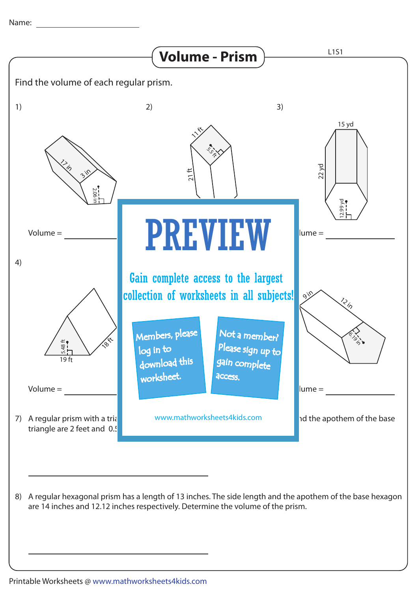